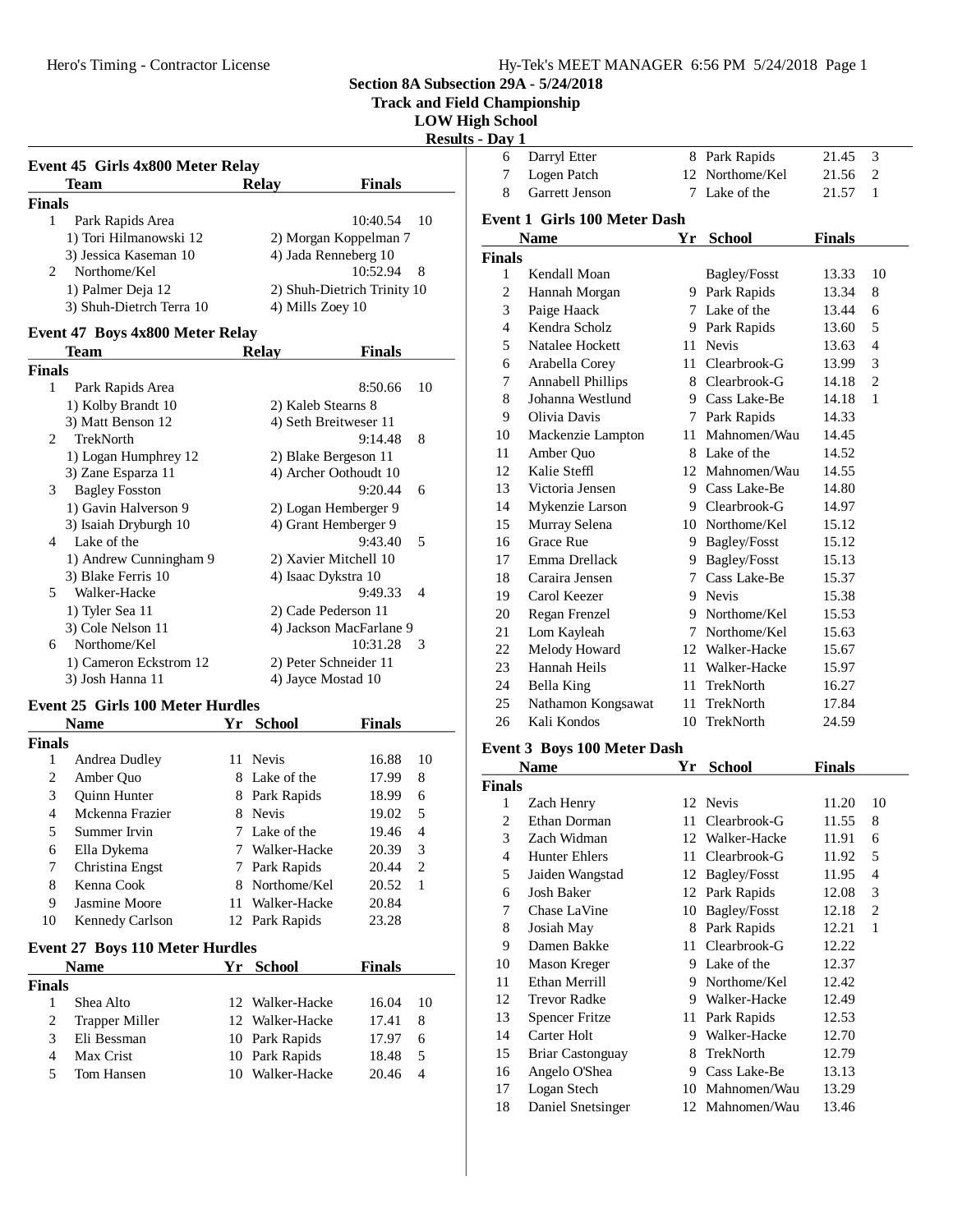Hero's Timing - Contractor License

**Section 8A Subsection 29A - 5/24/2018**

**Track and Field Championship**

| <b>LOW High School</b> |  |  |
|------------------------|--|--|

**Results - Day 1**

| Team                                        | <b>Relav</b>     | <b>Finals</b>               |
|---------------------------------------------|------------------|-----------------------------|
| <b>Finals</b>                               |                  |                             |
| Park Rapids Area                            |                  | 10:40.54<br>- 10            |
| 1) Tori Hilmanowski 12                      |                  | 2) Morgan Koppelman 7       |
| 3) Jessica Kaseman 10                       |                  | 4) Jada Renneberg 10        |
| Northome/Kel<br>$\mathcal{D}_{\mathcal{L}}$ |                  | 10:52.94<br>- 8             |
| 1) Palmer Deja 12                           |                  | 2) Shuh-Dietrich Trinity 10 |
| 3) Shuh-Dietrch Terra 10                    | 4) Mills Zoey 10 |                             |

#### **Event 47 Boys 4x800 Meter Relay**

|               | Team                   | Relav               | <b>Finals</b>           |                |
|---------------|------------------------|---------------------|-------------------------|----------------|
| <b>Finals</b> |                        |                     |                         |                |
| 1             | Park Rapids Area       |                     | 8:50.66                 | 10             |
|               | 1) Kolby Brandt 10     | 2) Kaleb Stearns 8  |                         |                |
|               | 3) Matt Benson 12      |                     | 4) Seth Breitweser 11   |                |
| 2             | <b>TrekNorth</b>       |                     | 9:14.48                 | 8              |
|               | 1) Logan Humphrey 12   |                     | 2) Blake Bergeson 11    |                |
|               | 3) Zane Esparza 11     |                     | 4) Archer Oothoudt 10   |                |
| 3             | <b>Bagley Fosston</b>  |                     | 9:20.44                 | 6              |
|               | 1) Gavin Halverson 9   |                     | 2) Logan Hemberger 9    |                |
|               | 3) Isaiah Dryburgh 10  |                     | 4) Grant Hemberger 9    |                |
| 4             | Lake of the            |                     | 9:43.40                 | 5              |
|               | 1) Andrew Cunningham 9 |                     | 2) Xavier Mitchell 10   |                |
|               | 3) Blake Ferris 10     | 4) Isaac Dykstra 10 |                         |                |
| 5             | Walker-Hacke           |                     | 9:49.33                 | $\overline{4}$ |
|               | 1) Tyler Sea 11        |                     | 2) Cade Pederson 11     |                |
|               | 3) Cole Nelson 11      |                     | 4) Jackson MacFarlane 9 |                |
| 6             | Northome/Kel           |                     | 10:31.28                | 3              |
|               | 1) Cameron Eckstrom 12 |                     | 2) Peter Schneider 11   |                |
|               | 3) Josh Hanna 11       | 4) Jayce Mostad 10  |                         |                |
|               |                        |                     |                         |                |

## **Event 25 Girls 100 Meter Hurdles**

|                | <b>Name</b>                            | Yr  | <b>School</b>  | Finals |    |
|----------------|----------------------------------------|-----|----------------|--------|----|
| <b>Finals</b>  |                                        |     |                |        |    |
| 1              | Andrea Dudley                          | 11  | <b>Nevis</b>   | 16.88  | 10 |
| $\overline{c}$ | Amber Quo                              | 8   | Lake of the    | 17.99  | 8  |
| 3              | <b>Ouinn Hunter</b>                    | 8   | Park Rapids    | 18.99  | 6  |
| 4              | Mckenna Frazier                        | 8   | <b>Nevis</b>   | 19.02  | 5  |
| 5              | Summer Irvin                           | 7   | Lake of the    | 19.46  | 4  |
| 6              | Ella Dykema                            | 7   | Walker-Hacke   | 20.39  | 3  |
| 7              | Christina Engst                        | 7   | Park Rapids    | 20.44  | 2  |
| 8              | Kenna Cook                             | 8   | Northome/Kel   | 20.52  | 1  |
| 9              | Jasmine Moore                          | 11  | Walker-Hacke   | 20.84  |    |
| 10             | Kennedy Carlson                        |     | 12 Park Rapids | 23.28  |    |
|                | <b>Event 27 Boys 110 Meter Hurdles</b> |     |                |        |    |
|                | <b>Name</b>                            | Yr  | <b>School</b>  | Finals |    |
| <b>Finals</b>  |                                        |     |                |        |    |
| 1              | Shea Alto                              | 12. | Walker-Hacke   | 16.04  | 10 |
| 2              | Trapper Miller                         | 12  | Walker-Hacke   | 17.41  | 8  |
| 3              | Eli Bessman                            | 10  | Park Rapids    | 17.97  | 6  |
| 4              | Max Crist                              | 10  | Park Rapids    | 18.48  | 5  |
| 5              | Tom Hansen                             | 10  | Walker-Hacke   | 20.46  | 4  |

| 6              | Darryl Etter                        | 8      | Park Rapids     | 21.45         | 3              |
|----------------|-------------------------------------|--------|-----------------|---------------|----------------|
| 7              | Logen Patch                         |        | 12 Northome/Kel | 21.56         | $\overline{c}$ |
| 8              | Garrett Jenson                      | 7      | Lake of the     | 21.57         | 1              |
|                | <b>Event 1 Girls 100 Meter Dash</b> |        |                 |               |                |
|                | Name                                | Yr     | <b>School</b>   | <b>Finals</b> |                |
| <b>Finals</b>  |                                     |        |                 |               |                |
| 1              | Kendall Moan                        |        | Bagley/Fosst    | 13.33         | 10             |
| $\overline{c}$ | Hannah Morgan                       |        | 9 Park Rapids   | 13.34         | 8              |
| 3              | Paige Haack                         | 7      | Lake of the     | 13.44         | 6              |
| 4              | Kendra Scholz                       |        | 9 Park Rapids   | 13.60         | 5              |
| 5              | Natalee Hockett                     | 11     | <b>Nevis</b>    | 13.63         | 4              |
| 6              | Arabella Corey                      | 11     | Clearbrook-G    | 13.99         | 3              |
| 7              | Annabell Phillips                   |        | 8 Clearbrook-G  | 14.18         | $\overline{c}$ |
| 8              | Johanna Westlund                    |        | 9 Cass Lake-Be  | 14.18         | $\mathbf{1}$   |
| 9              | Olivia Davis                        |        | 7 Park Rapids   | 14.33         |                |
| 10             | Mackenzie Lampton                   | 11     | Mahnomen/Wau    | 14.45         |                |
| 11             | Amber Quo                           |        | 8 Lake of the   | 14.52         |                |
| 12             | Kalie Steffl                        |        | 12 Mahnomen/Wau | 14.55         |                |
| 13             | Victoria Jensen                     | 9      | Cass Lake-Be    | 14.80         |                |
| 14             | Mykenzie Larson                     | 9.     | Clearbrook-G    | 14.97         |                |
| 15             | Murray Selena                       |        | 10 Northome/Kel | 15.12         |                |
| 16             | <b>Grace Rue</b>                    |        | 9 Bagley/Fosst  | 15.12         |                |
| 17             | Emma Drellack                       | 9.     | Bagley/Fosst    | 15.13         |                |
| 18             | Caraira Jensen                      | 7      | Cass Lake-Be    | 15.37         |                |
| 19             | Carol Keezer                        |        | 9 Nevis         | 15.38         |                |
| 20             | Regan Frenzel                       | 9      | Northome/Kel    | 15.53         |                |
| 21             | Lom Kayleah                         | $\tau$ | Northome/Kel    | 15.63         |                |
| 22             | Melody Howard                       |        | 12 Walker-Hacke | 15.67         |                |
| 23             | Hannah Heils                        | 11     | Walker-Hacke    | 15.97         |                |
| 24             | Bella King                          | 11     | TrekNorth       | 16.27         |                |
| 25             | Nathamon Kongsawat                  | 11     | TrekNorth       | 17.84         |                |
| 26             | Kali Kondos                         | 10     | TrekNorth       | 24.59         |                |

#### **Event 3 Boys 100 Meter Dash**

|               | <b>Name</b>             | Yr | <b>School</b>   | <b>Finals</b> |                |
|---------------|-------------------------|----|-----------------|---------------|----------------|
| <b>Finals</b> |                         |    |                 |               |                |
| 1             | Zach Henry              |    | 12 Nevis        | 11.20         | 10             |
| 2             | Ethan Dorman            | 11 | Clearbrook-G    | 11.55         | 8              |
| 3             | Zach Widman             |    | 12 Walker-Hacke | 11.91         | 6              |
| 4             | <b>Hunter Ehlers</b>    | 11 | Clearbrook-G    | 11.92         | 5              |
| 5             | Jaiden Wangstad         | 12 | Bagley/Fosst    | 11.95         | $\overline{4}$ |
| 6             | Josh Baker              |    | 12 Park Rapids  | 12.08         | 3              |
| 7             | Chase LaVine            | 10 | Bagley/Fosst    | 12.18         | 2              |
| 8             | Josiah May              | 8  | Park Rapids     | 12.21         | 1              |
| 9             | Damen Bakke             | 11 | Clearbrook-G    | 12.22         |                |
| 10            | Mason Kreger            | 9  | Lake of the     | 12.37         |                |
| 11            | Ethan Merrill           | 9  | Northome/Kel    | 12.42         |                |
| 12            | Trevor Radke            | 9  | Walker-Hacke    | 12.49         |                |
| 13            | <b>Spencer Fritze</b>   | 11 | Park Rapids     | 12.53         |                |
| 14            | Carter Holt             | 9  | Walker-Hacke    | 12.70         |                |
| 15            | <b>Briar Castonguay</b> | 8  | TrekNorth       | 12.79         |                |
| 16            | Angelo O'Shea           | 9  | Cass Lake-Be    | 13.13         |                |
| 17            | Logan Stech             | 10 | Mahnomen/Wau    | 13.29         |                |
| 18            | Daniel Snetsinger       |    | 12 Mahnomen/Wau | 13.46         |                |
|               |                         |    |                 |               |                |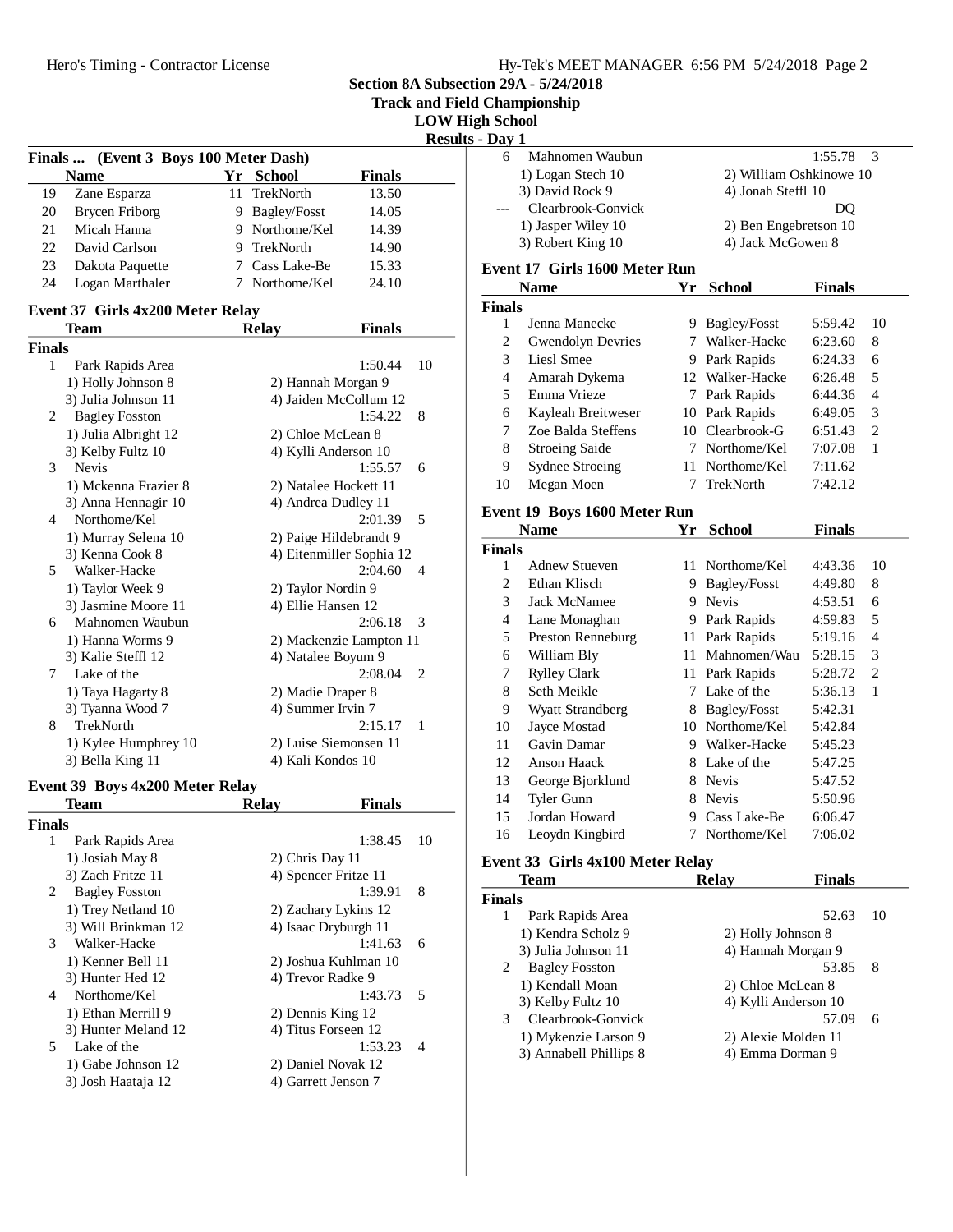| Hy-Tek's MEET MANAGER 6:56 PM 5/24/2018 Page 2 |  |  |
|------------------------------------------------|--|--|
|                                                |  |  |

**Track and Field Championship**

**LOW High School**

**Results - D** 

|               | (Event 3 Boys 100 Meter Dash)<br>Finals |    |                          |               |    |
|---------------|-----------------------------------------|----|--------------------------|---------------|----|
|               | <b>Name</b>                             | Yr | <b>School</b>            | <b>Finals</b> |    |
| 19            | Zane Esparza                            | 11 | TrekNorth                | 13.50         |    |
| 20            | <b>Brycen Friborg</b>                   |    | 9 Bagley/Fosst           | 14.05         |    |
| 21            | Micah Hanna                             |    | 9 Northome/Kel           | 14.39         |    |
| 22            | David Carlson                           |    | 9 TrekNorth              | 14.90         |    |
| 23            | Dakota Paquette                         |    | 7 Cass Lake-Be           | 15.33         |    |
| 24            | Logan Marthaler                         | 7  | Northome/Kel             | 24.10         |    |
|               | Event 37 Girls 4x200 Meter Relay        |    |                          |               |    |
|               | Team                                    |    | <b>Relay</b>             | <b>Finals</b> |    |
| <b>Finals</b> |                                         |    |                          |               |    |
| 1             | Park Rapids Area                        |    |                          | 1:50.44       | 10 |
|               | 1) Holly Johnson 8                      |    | 2) Hannah Morgan 9       |               |    |
|               | 3) Julia Johnson 11                     |    | 4) Jaiden McCollum 12    |               |    |
| 2             | <b>Bagley Fosston</b>                   |    |                          | 1:54.22       | 8  |
|               | 1) Julia Albright 12                    |    | 2) Chloe McLean 8        |               |    |
|               | 3) Kelby Fultz 10                       |    | 4) Kylli Anderson 10     |               |    |
| 3             | <b>Nevis</b>                            |    |                          | 1:55.57       | 6  |
|               | 1) Mckenna Frazier 8                    |    | 2) Natalee Hockett 11    |               |    |
|               | 3) Anna Hennagir 10                     |    | 4) Andrea Dudley 11      |               |    |
| 4             | Northome/Kel                            |    |                          | 2:01.39       | 5  |
|               | 1) Murray Selena 10                     |    | 2) Paige Hildebrandt 9   |               |    |
|               | 3) Kenna Cook 8                         |    | 4) Eitenmiller Sophia 12 |               |    |
| 5             | Walker-Hacke                            |    |                          | 2:04.60       | 4  |
|               | 1) Taylor Week 9                        |    | 2) Taylor Nordin 9       |               |    |
|               | 3) Jasmine Moore 11                     |    | 4) Ellie Hansen 12       |               |    |
| 6             | Mahnomen Waubun                         |    |                          | 2:06.18       | 3  |
|               | 1) Hanna Worms 9                        |    | 2) Mackenzie Lampton 11  |               |    |
|               | 3) Kalie Steffl 12                      |    | 4) Natalee Boyum 9       |               |    |
| 7             | Lake of the                             |    |                          | 2:08.04       | 2  |
|               | 1) Taya Hagarty 8                       |    | 2) Madie Draper 8        |               |    |
|               | 3) Tyanna Wood 7                        |    | 4) Summer Irvin 7        |               |    |
| 8             | <b>TrekNorth</b>                        |    |                          | 2:15.17       | 1  |
|               | 1) Kylee Humphrey 10                    |    | 2) Luise Siemonsen 11    |               |    |
|               | 3) Bella King 11                        |    | 4) Kali Kondos 10        |               |    |
|               | Event 39 Boys 4x200 Meter Relay         |    |                          |               |    |
|               | Team                                    |    | <b>Relay</b>             | <b>Finals</b> |    |
| <b>Finals</b> |                                         |    |                          |               |    |
| 1             | Park Rapids Area                        |    |                          | 1:38.45       | 10 |
|               | 1) Josiah May 8                         |    | 2) Chris Day 11          |               |    |

|    | 1) Josiah May 8       | 2) Chris Day 11      |                |
|----|-----------------------|----------------------|----------------|
|    | 3) Zach Fritze 11     | 4) Spencer Fritze 11 |                |
| 2  | <b>Bagley Fosston</b> | 1:39.91              | 8              |
|    | 1) Trey Netland 10    | 2) Zachary Lykins 12 |                |
|    | 3) Will Brinkman 12   | 4) Isaac Dryburgh 11 |                |
| 3  | Walker-Hacke          | 1:41.63              | 6              |
|    | 1) Kenner Bell 11     | 2) Joshua Kuhlman 10 |                |
|    | 3) Hunter Hed 12      | 4) Trevor Radke 9    |                |
| 4  | Northome/Kel          | 1:43.73              | - 5            |
|    | 1) Ethan Merrill 9    | 2) Dennis King 12    |                |
|    | 3) Hunter Meland 12   | 4) Titus Forseen 12  |                |
| 5. | Lake of the           | 1:53.23              | $\overline{A}$ |
|    | 1) Gabe Johnson 12    | 2) Daniel Novak 12   |                |
|    | 3) Josh Haataja 12    | 4) Garrett Jenson 7  |                |

| gh School      |                                  |    |                                  |               |                |
|----------------|----------------------------------|----|----------------------------------|---------------|----------------|
| $-$ Day 1      |                                  |    |                                  |               |                |
| 6              | Mahnomen Waubun                  |    |                                  | 1:55.78       | 3              |
|                | 1) Logan Stech 10                |    | 2) William Oshkinowe 10          |               |                |
|                | 3) David Rock 9                  |    | 4) Jonah Steffl 10               |               |                |
|                | Clearbrook-Gonvick               |    |                                  | DQ            |                |
|                | 1) Jasper Wiley 10               |    | 2) Ben Engebretson 10            |               |                |
|                | 3) Robert King 10                |    | 4) Jack McGowen 8                |               |                |
|                | Event 17 Girls 1600 Meter Run    |    |                                  |               |                |
|                |                                  |    |                                  |               |                |
|                | <b>Name</b>                      | Yr | <b>School</b>                    | <b>Finals</b> |                |
| <b>Finals</b>  |                                  |    |                                  |               | 10             |
| 1              | Jenna Manecke                    |    | 9 Bagley/Fosst<br>7 Walker-Hacke | 5:59.42       |                |
| $\overline{c}$ | <b>Gwendolyn Devries</b>         |    |                                  | 6:23.60       | 8              |
| 3              | Liesl Smee                       |    | 9 Park Rapids                    | 6:24.33       | 6              |
| $\overline{4}$ | Amarah Dykema                    |    | 12 Walker-Hacke                  | 6:26.48       | 5              |
| 5              | Emma Vrieze                      |    | 7 Park Rapids                    | 6:44.36       | 4              |
| 6              | Kayleah Breitweser               |    | 10 Park Rapids                   | 6:49.05       | 3              |
| 7              | Zoe Balda Steffens               |    | 10 Clearbrook-G                  | 6:51.43       | 2              |
| 8              | <b>Stroeing Saide</b>            |    | 7 Northome/Kel                   | 7:07.08       | 1              |
| 9              | <b>Sydnee Stroeing</b>           | 11 | Northome/Kel                     | 7:11.62       |                |
| 10             | Megan Moen                       | 7  | <b>TrekNorth</b>                 | 7:42.12       |                |
|                | Event 19 Boys 1600 Meter Run     |    |                                  |               |                |
|                | <b>Name</b>                      |    | Yr School                        | <b>Finals</b> |                |
| <b>Finals</b>  |                                  |    |                                  |               |                |
| 1              | <b>Adnew Stueven</b>             |    | 11 Northome/Kel                  | 4:43.36       | 10             |
| $\overline{c}$ | Ethan Klisch                     |    | 9 Bagley/Fosst                   | 4:49.80       | 8              |
| 3              | <b>Jack McNamee</b>              |    | 9 Nevis                          | 4:53.51       | 6              |
| $\overline{4}$ |                                  |    |                                  |               | 5              |
|                | Lane Monaghan                    |    | 9 Park Rapids                    | 4:59.83       | 4              |
| 5              | Preston Renneburg                |    | 11 Park Rapids                   | 5:19.16       |                |
| 6              | William Bly                      |    | 11 Mahnomen/Wau                  | 5:28.15       | 3              |
| 7              | <b>Rylley Clark</b>              |    | 11 Park Rapids                   | 5:28.72       | $\overline{c}$ |
| 8              | Seth Meikle                      | 7  | Lake of the                      | 5:36.13       | 1              |
| 9              | Wyatt Strandberg                 |    | 8 Bagley/Fosst                   | 5:42.31       |                |
| 10             | Jayce Mostad                     |    | 10 Northome/Kel                  | 5:42.84       |                |
| 11             | Gavin Damar                      |    | 9 Walker-Hacke                   | 5:45.23       |                |
| 12             | Anson Haack                      |    | 8 Lake of the                    | 5:47.25       |                |
| 13             | George Bjorklund                 |    | 8 Nevis                          | 5:47.52       |                |
| 14             | Tyler Gunn                       | 8  | Nevis                            | 5:50.96       |                |
| 15             | Jordan Howard                    |    | 9 Cass Lake-Be                   | 6:06.47       |                |
| 16             | Leoydn Kingbird                  | 7  | Northome/Kel                     | 7:06.02       |                |
|                | Event 33 Girls 4x100 Meter Relay |    |                                  |               |                |
|                | <b>Team</b>                      |    | <b>Relay</b>                     | <b>Finals</b> |                |
| <b>Finals</b>  |                                  |    |                                  |               |                |
| 1              | Park Rapids Area                 |    |                                  | 52.63         | 10             |
|                | 1) Kendra Scholz 9               |    | 2) Holly Johnson 8               |               |                |
|                | 3) Julia Johnson 11              |    | 4) Hannah Morgan 9               |               |                |
|                | Dealer: Essator                  |    |                                  | 52.05         |                |

| $\overline{2}$ | <b>Bagley Fosston</b>  | 53.85                | - 8 |
|----------------|------------------------|----------------------|-----|
|                | 1) Kendall Moan        | 2) Chloe McLean 8    |     |
|                | 3) Kelby Fultz 10      | 4) Kylli Anderson 10 |     |
| 3.             | Clearbrook-Gonvick     | 57.09                | 6   |
|                | 1) Mykenzie Larson 9   | 2) Alexie Molden 11  |     |
|                | 3) Annabell Phillips 8 | 4) Emma Dorman 9     |     |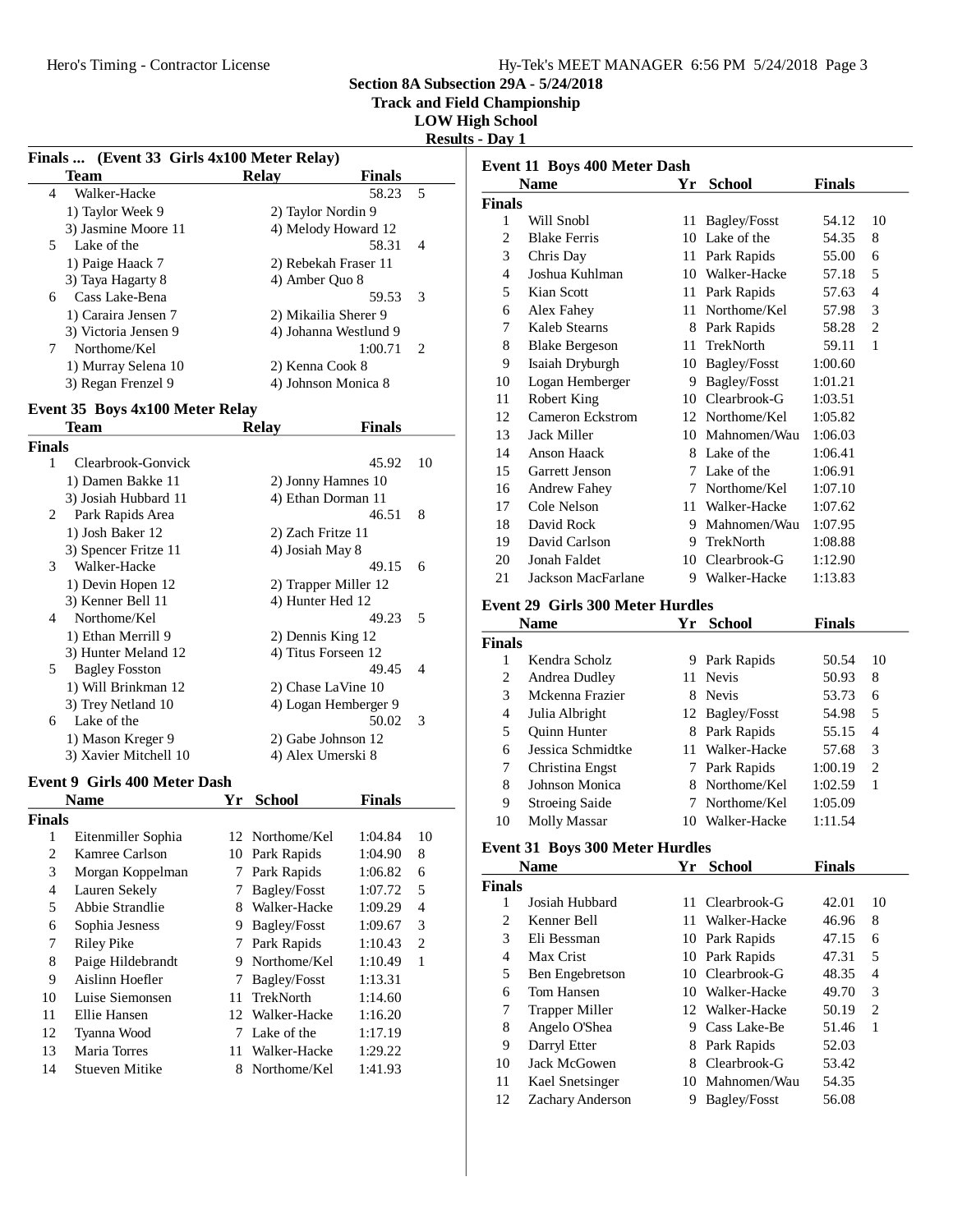**Track and Field Championship**

**LOW High School**

**Results - Day 1**

|                         | Finals  (Event 33 Girls 4x100 Meter Relay) |    |                      |                       |                          |
|-------------------------|--------------------------------------------|----|----------------------|-----------------------|--------------------------|
|                         | <b>Team</b>                                |    | <b>Relay</b>         | <b>Finals</b>         |                          |
| 4                       | Walker-Hacke                               |    |                      | 58.23                 | 5                        |
|                         | 1) Taylor Week 9                           |    | 2) Taylor Nordin 9   |                       |                          |
|                         | 3) Jasmine Moore 11                        |    | 4) Melody Howard 12  |                       |                          |
| 5                       | Lake of the                                |    |                      | 58.31                 | 4                        |
|                         | 1) Paige Haack 7                           |    | 2) Rebekah Fraser 11 |                       |                          |
|                         | 3) Taya Hagarty 8                          |    | 4) Amber Quo 8       |                       |                          |
| 6                       | Cass Lake-Bena                             |    |                      | 59.53                 | 3                        |
|                         | 1) Caraira Jensen 7                        |    | 2) Mikailia Sherer 9 |                       |                          |
|                         | 3) Victoria Jensen 9                       |    |                      | 4) Johanna Westlund 9 |                          |
| 7                       | Northome/Kel                               |    |                      | 1:00.71               | 2                        |
|                         | 1) Murray Selena 10                        |    | 2) Kenna Cook 8      |                       |                          |
|                         | 3) Regan Frenzel 9                         |    | 4) Johnson Monica 8  |                       |                          |
|                         | Event 35 Boys 4x100 Meter Relay            |    |                      |                       |                          |
|                         | <b>Team</b>                                |    | <b>Relay</b>         | <b>Finals</b>         |                          |
|                         |                                            |    |                      |                       |                          |
| <b>Finals</b><br>1      | Clearbrook-Gonvick                         |    |                      | 45.92                 | 10                       |
|                         |                                            |    |                      |                       |                          |
|                         | 1) Damen Bakke 11                          |    | 2) Jonny Hamnes 10   |                       |                          |
|                         | 3) Josiah Hubbard 11                       |    | 4) Ethan Dorman 11   | 46.51                 |                          |
| 2                       | Park Rapids Area                           |    |                      |                       | 8                        |
|                         | 1) Josh Baker 12                           |    | 2) Zach Fritze 11    |                       |                          |
|                         | 3) Spencer Fritze 11<br>Walker-Hacke       |    | 4) Josiah May 8      |                       |                          |
| 3                       |                                            |    |                      | 49.15                 | 6                        |
|                         | 1) Devin Hopen 12                          |    | 2) Trapper Miller 12 |                       |                          |
| 4                       | 3) Kenner Bell 11<br>Northome/Kel          |    | 4) Hunter Hed 12     |                       |                          |
|                         |                                            |    |                      | 49.23                 | 5                        |
|                         | 1) Ethan Merrill 9                         |    | 2) Dennis King 12    |                       |                          |
|                         | 3) Hunter Meland 12                        |    | 4) Titus Forseen 12  |                       |                          |
| 5                       | <b>Bagley Fosston</b>                      |    |                      | 49.45                 | 4                        |
|                         | 1) Will Brinkman 12                        |    | 2) Chase LaVine 10   |                       |                          |
|                         | 3) Trey Netland 10<br>Lake of the          |    | 4) Logan Hemberger 9 |                       |                          |
| 6                       |                                            |    |                      | 50.02                 | 3                        |
|                         | 1) Mason Kreger 9                          |    | 2) Gabe Johnson 12   |                       |                          |
|                         | 3) Xavier Mitchell 10                      |    | 4) Alex Umerski 8    |                       |                          |
|                         | <b>Event 9 Girls 400 Meter Dash</b>        |    |                      |                       |                          |
|                         | <b>Name</b>                                | Yr | <b>School</b>        | <b>Finals</b>         |                          |
| Finals                  |                                            |    |                      |                       |                          |
| 1                       | Eitenmiller Sophia                         |    | 12 Northome/Kel      | 1:04.84               | 10                       |
| $\overline{\mathbf{c}}$ | Kamree Carlson                             |    | 10 Park Rapids       | 1:04.90               | 8                        |
| 3                       | Morgan Koppelman                           | 7  | Park Rapids          | 1:06.82               | 6                        |
| $\overline{\mathbf{4}}$ | Lauren Sekely                              | 7  | Bagley/Fosst         | 1:07.72               | 5                        |
| 5                       | Abbie Strandlie                            | 8  | Walker-Hacke         | 1:09.29               | $\overline{\mathcal{L}}$ |
| 6                       | Sophia Jesness                             | 9. | Bagley/Fosst         | 1:09.67               | 3                        |
| 7                       | <b>Riley Pike</b>                          | 7  | Park Rapids          | 1:10.43               | $\overline{2}$           |
| 8                       | Paige Hildebrandt                          | 9  | Northome/Kel         | 1:10.49               | $\mathbf{1}$             |
| 9                       | Aislinn Hoefler                            | 7  | Bagley/Fosst         | 1:13.31               |                          |
| 10                      | Luise Siemonsen                            | 11 | TrekNorth            | 1:14.60               |                          |
| 11                      | Ellie Hansen                               | 12 | Walker-Hacke         | 1:16.20               |                          |
| 12                      | Tyanna Wood                                | 7  | Lake of the          | 1:17.19               |                          |
| 13                      | Maria Torres                               | 11 | Walker-Hacke         | 1:29.22               |                          |
| 14                      | <b>Stueven Mitike</b>                      | 8  | Northome/Kel         | 1:41.93               |                          |
|                         |                                            |    |                      |                       |                          |

|               | Event 11 Boys 400 Meter Dash            |      |                               |                |                |
|---------------|-----------------------------------------|------|-------------------------------|----------------|----------------|
|               | <b>Name</b>                             | Yr   | <b>School</b>                 | <b>Finals</b>  |                |
| <b>Finals</b> |                                         |      |                               |                |                |
| 1             | Will Snobl                              | 11   | Bagley/Fosst                  | 54.12          | 10             |
| 2             | <b>Blake Ferris</b>                     |      | 10 Lake of the                | 54.35          | 8              |
| 3             | Chris Day                               |      | 11 Park Rapids                | 55.00          | 6              |
| 4             | Joshua Kuhlman                          |      | 10 Walker-Hacke               | 57.18          | 5              |
| 5             | Kian Scott                              |      | 11 Park Rapids                | 57.63          | 4              |
| 6             | Alex Fahey                              |      | 11 Northome/Kel               | 57.98          | 3              |
| 7             | Kaleb Stearns                           |      | 8 Park Rapids                 | 58.28          | $\overline{c}$ |
| 8             | <b>Blake Bergeson</b>                   |      | 11 TrekNorth                  | 59.11          | $\mathbf{1}$   |
| 9             | Isaiah Dryburgh                         |      | 10 Bagley/Fosst               | 1:00.60        |                |
| 10            | Logan Hemberger                         |      | 9 Bagley/Fosst                | 1:01.21        |                |
| 11            | Robert King                             |      | 10 Clearbrook-G               | 1:03.51        |                |
| 12            | <b>Cameron Eckstrom</b>                 |      | 12 Northome/Kel               | 1:05.82        |                |
| 13            | Jack Miller                             |      | 10 Mahnomen/Wau               | 1:06.03        |                |
| 14            | <b>Anson Haack</b>                      |      | 8 Lake of the                 | 1:06.41        |                |
| 15            | Garrett Jenson                          |      | 7 Lake of the                 | 1:06.91        |                |
| 16            | <b>Andrew Fahey</b>                     |      | 7 Northome/Kel                | 1:07.10        |                |
| 17            | Cole Nelson                             |      | 11 Walker-Hacke               | 1:07.62        |                |
| 18            | David Rock                              |      | 9 Mahnomen/Wau                | 1:07.95        |                |
| 19            | David Carlson                           |      | 9 TrekNorth                   | 1:08.88        |                |
| 20            | Jonah Faldet                            |      | 10 Clearbrook-G               | 1:12.90        |                |
| 21            | Jackson MacFarlane                      |      | 9 Walker-Hacke                | 1:13.83        |                |
|               | <b>Event 29 Girls 300 Meter Hurdles</b> |      |                               |                |                |
|               | <b>Name</b>                             |      | Yr School                     | <b>Finals</b>  |                |
| <b>Finals</b> |                                         |      |                               |                |                |
| 1             | Kendra Scholz                           | 9    | Park Rapids                   | 50.54          | 10             |
| 2             | Andrea Dudley                           | 11   | <b>Nevis</b>                  | 50.93          | 8              |
| 3             | Mckenna Frazier                         |      | 8 Nevis                       | 53.73          | 6              |
| 4             | Julia Albright                          |      | 12 Bagley/Fosst               | 54.98          | 5              |
| 5             | Quinn Hunter                            |      | 8 Park Rapids                 | 55.15          | 4              |
| 6             | Jessica Schmidtke                       | 11 - | Walker-Hacke                  | 57.68          | 3              |
| 7             | Christina Engst                         |      | 7 Park Rapids                 | 1:00.19        | $\overline{c}$ |
| 8             | Johnson Monica                          |      | 8 Northome/Kel                | 1:02.59        | $\mathbf{1}$   |
| 9             | <b>Stroeing Saide</b>                   | 7    | Northome/Kel                  | 1:05.09        |                |
| 10            | Molly Massar                            |      | 10 Walker-Hacke               | 1:11.54        |                |
|               |                                         |      |                               |                |                |
|               | <b>Event 31 Boys 300 Meter Hurdles</b>  |      |                               |                |                |
|               | <b>Name</b>                             | Yr   | <b>School</b>                 | <b>Finals</b>  |                |
| <b>Finals</b> | Josiah Hubbard                          |      | Clearbrook-G                  |                |                |
| 1             |                                         | 11   |                               | 42.01          | 10             |
| 2             | Kenner Bell                             | 11   | Walker-Hacke                  | 46.96          | 8              |
| 3             | Eli Bessman                             |      | 10 Park Rapids                | 47.15          | 6              |
| 4             | Max Crist                               |      | 10 Park Rapids                | 47.31          | 5              |
| 5             | <b>Ben Engebretson</b>                  |      | 10 Clearbrook-G               | 48.35          | $\overline{4}$ |
| 6             | Tom Hansen                              |      | 10 Walker-Hacke               | 49.70          | 3              |
| 7             | <b>Trapper Miller</b>                   |      | 12 Walker-Hacke               | 50.19          | $\overline{c}$ |
| 8             | Angelo O'Shea                           |      | 9 Cass Lake-Be                | 51.46          | 1              |
| 9             | Darryl Etter<br>Jack McGowen            | 8    | 8 Park Rapids<br>Clearbrook-G | 52.03<br>53.42 |                |
| 10            |                                         |      |                               |                |                |

11 Kael Snetsinger<br>10 Mahnomen/Wau 54.35<br>12 Zachary Anderson<br>19 Bagley/Fosst<br>156.08

12 Zachary Anderson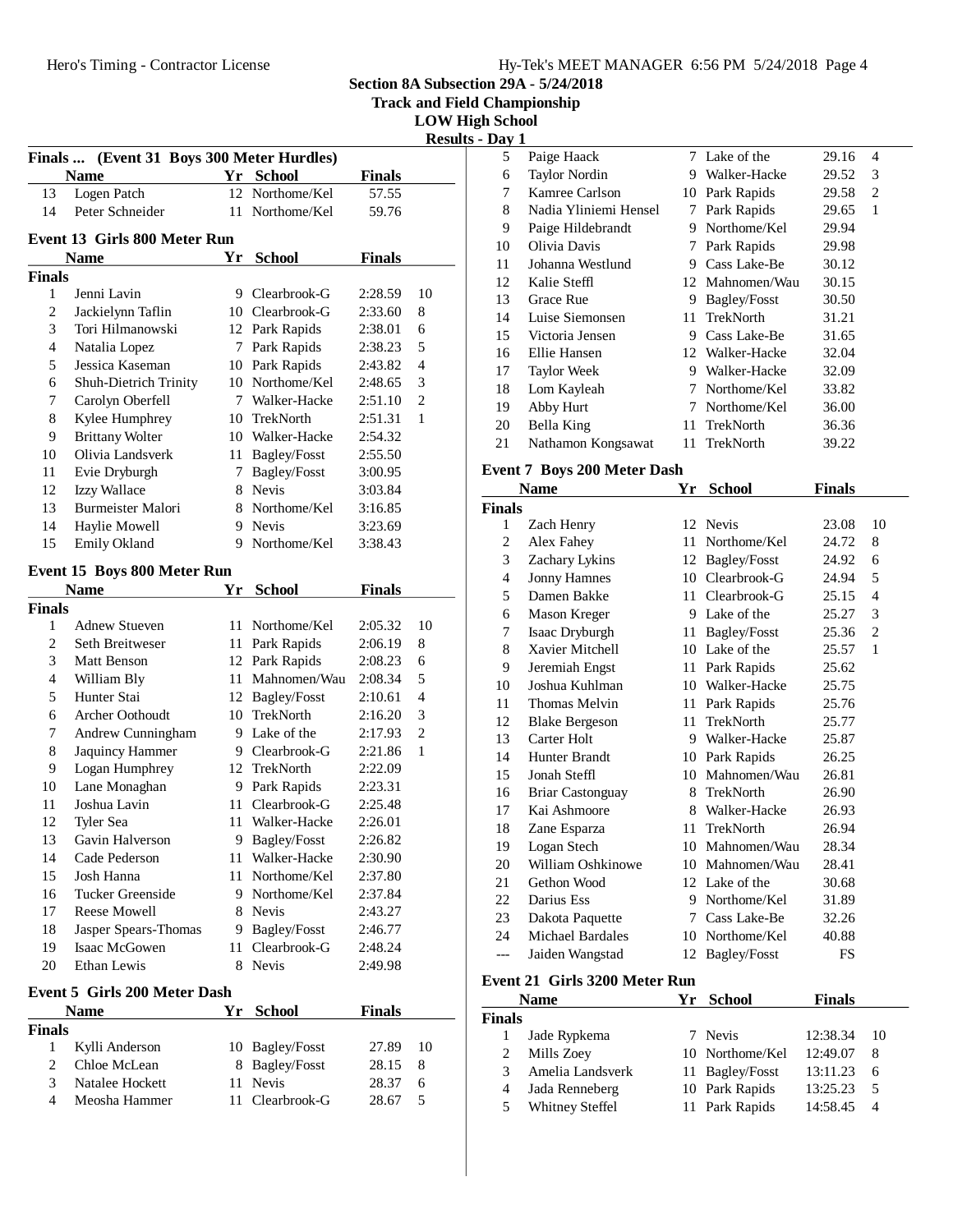| Hy-Tek's MEET MANAGER 6:56 PM 5/24/2018 Page 4 |  |  |
|------------------------------------------------|--|--|
|                                                |  |  |

**Track and Field Championship**

**LOW High School**

**Results - Day 1**

|                    |                                           |    |                       |                | <b>Kesul</b>   |
|--------------------|-------------------------------------------|----|-----------------------|----------------|----------------|
| <b>Finals</b>      | (Event 31 Boys 300 Meter Hurdles)<br>Name |    | Yr School             | <b>Finals</b>  |                |
| 13                 | Logen Patch                               |    | 12 Northome/Kel       | 57.55          |                |
| 14                 | Peter Schneider                           | 11 | Northome/Kel          | 59.76          |                |
|                    |                                           |    |                       |                |                |
|                    | <b>Event 13 Girls 800 Meter Run</b>       |    |                       |                |                |
|                    | Name                                      | Yr | <b>School</b>         | <b>Finals</b>  |                |
| <b>Finals</b>      |                                           |    |                       |                |                |
| 1                  | Jenni Lavin                               |    | 9 Clearbrook-G        | 2:28.59        | 10             |
| $\overline{c}$     | Jackielynn Taflin                         |    | 10 Clearbrook-G       | 2:33.60        | 8              |
| 3                  | Tori Hilmanowski                          |    | 12 Park Rapids        | 2:38.01        | 6              |
| 4                  | Natalia Lopez                             | 7  | Park Rapids           | 2:38.23        | 5              |
| 5                  | Jessica Kaseman                           | 10 | Park Rapids           | 2:43.82        | 4              |
| 6                  | Shuh-Dietrich Trinity                     |    | 10 Northome/Kel       | 2:48.65        | 3              |
| 7                  | Carolyn Oberfell                          |    | 7 Walker-Hacke        | 2:51.10        | $\overline{2}$ |
| 8                  | Kylee Humphrey                            |    | 10 TrekNorth          | 2:51.31        | 1              |
| 9                  | <b>Brittany Wolter</b>                    |    | 10 Walker-Hacke       | 2:54.32        |                |
| 10                 | Olivia Landsverk                          |    | 11 Bagley/Fosst       | 2:55.50        |                |
| 11                 | Evie Dryburgh                             |    | 7 Bagley/Fosst        | 3:00.95        |                |
| 12                 | Izzy Wallace                              |    | 8 Nevis               | 3:03.84        |                |
| 13                 | <b>Burmeister Malori</b>                  |    | 8 Northome/Kel        | 3:16.85        |                |
| 14                 | Haylie Mowell                             |    | 9 Nevis               | 3:23.69        |                |
| 15                 | Emily Okland                              | 9  | Northome/Kel          | 3:38.43        |                |
|                    | Event 15 Boys 800 Meter Run               |    |                       |                |                |
|                    | <b>Name</b>                               | Yr | <b>School</b>         | <b>Finals</b>  |                |
| <b>Finals</b>      |                                           |    |                       |                |                |
| 1                  | <b>Adnew Stueven</b>                      | 11 | Northome/Kel          | 2:05.32        | 10             |
| $\overline{c}$     | Seth Breitweser                           | 11 | Park Rapids           | 2:06.19        | 8              |
| 3                  | <b>Matt Benson</b>                        |    | 12 Park Rapids        | 2:08.23        | 6              |
| 4                  | William Bly                               | 11 | Mahnomen/Wau          | 2:08.34        | 5              |
| 5                  | Hunter Stai                               |    | 12 Bagley/Fosst       | 2:10.61        | $\overline{4}$ |
| 6                  | <b>Archer Oothoudt</b>                    |    | 10 TrekNorth          | 2:16.20        | 3              |
| 7                  | Andrew Cunningham                         |    | 9 Lake of the         | 2:17.93        | $\overline{2}$ |
| 8                  | Jaquincy Hammer                           |    | 9 Clearbrook-G        | 2:21.86        | 1              |
|                    |                                           |    |                       |                |                |
|                    |                                           |    |                       |                |                |
| 9                  | Logan Humphrey                            |    | 12 TrekNorth          | 2:22.09        |                |
| 10                 | Lane Monaghan                             | 9  | Park Rapids           | 2:23.31        |                |
| 11                 | Joshua Lavin                              | 11 | Clearbrook-G          | 2:25.48        |                |
| 12                 | Tyler Sea                                 | 11 | Walker-Hacke          | 2:26.01        |                |
| 13                 | Gavin Halverson                           | 9. | <b>Bagley/Fosst</b>   | 2:26.82        |                |
| 14                 | Cade Pederson                             | 11 | Walker-Hacke          | 2:30.90        |                |
| 15                 | Josh Hanna                                | 11 | Northome/Kel          | 2:37.80        |                |
| 16                 | Tucker Greenside                          |    | 9 Northome/Kel        | 2:37.84        |                |
| 17                 | Reese Mowell                              |    | 8 Nevis               | 2:43.27        |                |
| 18                 | Jasper Spears-Thomas                      |    | 9 Bagley/Fosst        | 2:46.77        |                |
| 19                 | Isaac McGowen                             | 11 | Clearbrook-G          | 2:48.24        |                |
| 20                 | Ethan Lewis                               | 8  | <b>Nevis</b>          | 2:49.98        |                |
|                    | <b>Event 5 Girls 200 Meter Dash</b>       |    |                       |                |                |
|                    | <b>Name</b>                               |    | Yr School             | <b>Finals</b>  |                |
|                    |                                           |    |                       |                |                |
| 1                  |                                           |    |                       | 27.89          | 10             |
| 2                  | Kylli Anderson<br>Chloe McLean            | 8  | 10 Bagley/Fosst       |                |                |
| <b>Finals</b><br>3 | Natalee Hockett                           | 11 | Bagley/Fosst<br>Nevis | 28.15<br>28.37 | 8<br>6         |

| 5  | Paige Haack           |    | 7 Lake of the   | 29.16 | 4 |  |
|----|-----------------------|----|-----------------|-------|---|--|
| 6  | <b>Taylor Nordin</b>  | 9  | Walker-Hacke    | 29.52 | 3 |  |
| 7  | Kamree Carlson        | 10 | Park Rapids     | 29.58 | 2 |  |
| 8  | Nadia Yliniemi Hensel | 7  | Park Rapids     | 29.65 | 1 |  |
| 9  | Paige Hildebrandt     | 9  | Northome/Kel    | 29.94 |   |  |
| 10 | Olivia Davis          | 7  | Park Rapids     | 29.98 |   |  |
| 11 | Johanna Westlund      | 9  | Cass Lake-Be    | 30.12 |   |  |
| 12 | Kalie Steffl          |    | 12 Mahnomen/Wau | 30.15 |   |  |
| 13 | Grace Rue             | 9  | Bagley/Fosst    | 30.50 |   |  |
| 14 | Luise Siemonsen       | 11 | TrekNorth       | 31.21 |   |  |
| 15 | Victoria Jensen       | 9  | Cass Lake-Be    | 31.65 |   |  |
| 16 | Ellie Hansen          |    | 12 Walker-Hacke | 32.04 |   |  |
| 17 | <b>Taylor Week</b>    | 9  | Walker-Hacke    | 32.09 |   |  |
| 18 | Lom Kayleah           | 7  | Northome/Kel    | 33.82 |   |  |
| 19 | Abby Hurt             | 7  | Northome/Kel    | 36.00 |   |  |
| 20 | Bella King            | 11 | TrekNorth       | 36.36 |   |  |
| 21 | Nathamon Kongsawat    | 11 | TrekNorth       | 39.22 |   |  |

## **Event 7 Boys 200 Meter Dash**

| <b>Name</b>   |                       | Yr  | <b>School</b>    | <b>Finals</b> |                |
|---------------|-----------------------|-----|------------------|---------------|----------------|
| <b>Finals</b> |                       |     |                  |               |                |
| 1             | Zach Henry            | 12. | <b>Nevis</b>     | 23.08         | 10             |
| 2             | Alex Fahey            | 11  | Northome/Kel     | 24.72         | 8              |
| 3             | Zachary Lykins        | 12  | Bagley/Fosst     | 24.92         | 6              |
| 4             | <b>Jonny Hamnes</b>   | 10  | Clearbrook-G     | 24.94         | 5              |
| 5             | Damen Bakke           | 11  | Clearbrook-G     | 25.15         | $\overline{4}$ |
| 6             | Mason Kreger          | 9   | Lake of the      | 25.27         | 3              |
| 7             | Isaac Dryburgh        | 11  | Bagley/Fosst     | 25.36         | $\overline{2}$ |
| 8             | Xavier Mitchell       | 10  | Lake of the      | 25.57         | 1              |
| 9             | Jeremiah Engst        | 11  | Park Rapids      | 25.62         |                |
| 10            | Joshua Kuhlman        | 10  | Walker-Hacke     | 25.75         |                |
| 11            | Thomas Melvin         | 11  | Park Rapids      | 25.76         |                |
| 12            | <b>Blake Bergeson</b> | 11  | <b>TrekNorth</b> | 25.77         |                |
| 13            | Carter Holt           |     | 9 Walker-Hacke   | 25.87         |                |
| 14            | Hunter Brandt         | 10  | Park Rapids      | 26.25         |                |
| 15            | Jonah Steffl          | 10  | Mahnomen/Wau     | 26.81         |                |
| 16            | Briar Castonguay      | 8   | TrekNorth        | 26.90         |                |
| 17            | Kai Ashmoore          | 8   | Walker-Hacke     | 26.93         |                |
| 18            | Zane Esparza          | 11  | TrekNorth        | 26.94         |                |
| 19            | Logan Stech           | 10  | Mahnomen/Wau     | 28.34         |                |
| 20            | William Oshkinowe     | 10  | Mahnomen/Wau     | 28.41         |                |
| 21            | Gethon Wood           |     | 12 Lake of the   | 30.68         |                |
| 22            | Darius Ess            | 9   | Northome/Kel     | 31.89         |                |
| 23            | Dakota Paquette       | 7   | Cass Lake-Be     | 32.26         |                |
| 24            | Michael Bardales      | 10  | Northome/Kel     | 40.88         |                |
| ---           | Jaiden Wangstad       | 12  | Bagley/Fosst     | FS            |                |
|               |                       |     |                  |               |                |

# **Event 21 Girls 3200 Meter Run**

|               | <b>Name</b>            | Yr School       | Finals   |     |
|---------------|------------------------|-----------------|----------|-----|
| <b>Finals</b> |                        |                 |          |     |
|               | Jade Rypkema           | 7 Nevis         | 12:38.34 | -10 |
| 2             | Mills Zoey             | 10 Northome/Kel | 12:49.07 | 8   |
| $\mathcal{R}$ | Amelia Landsverk       | 11 Bagley/Fosst | 13:11.23 | 6   |
| 4             | Jada Renneberg         | 10 Park Rapids  | 13:25.23 | 5   |
| 5             | <b>Whitney Steffel</b> | 11 Park Rapids  | 14:58.45 |     |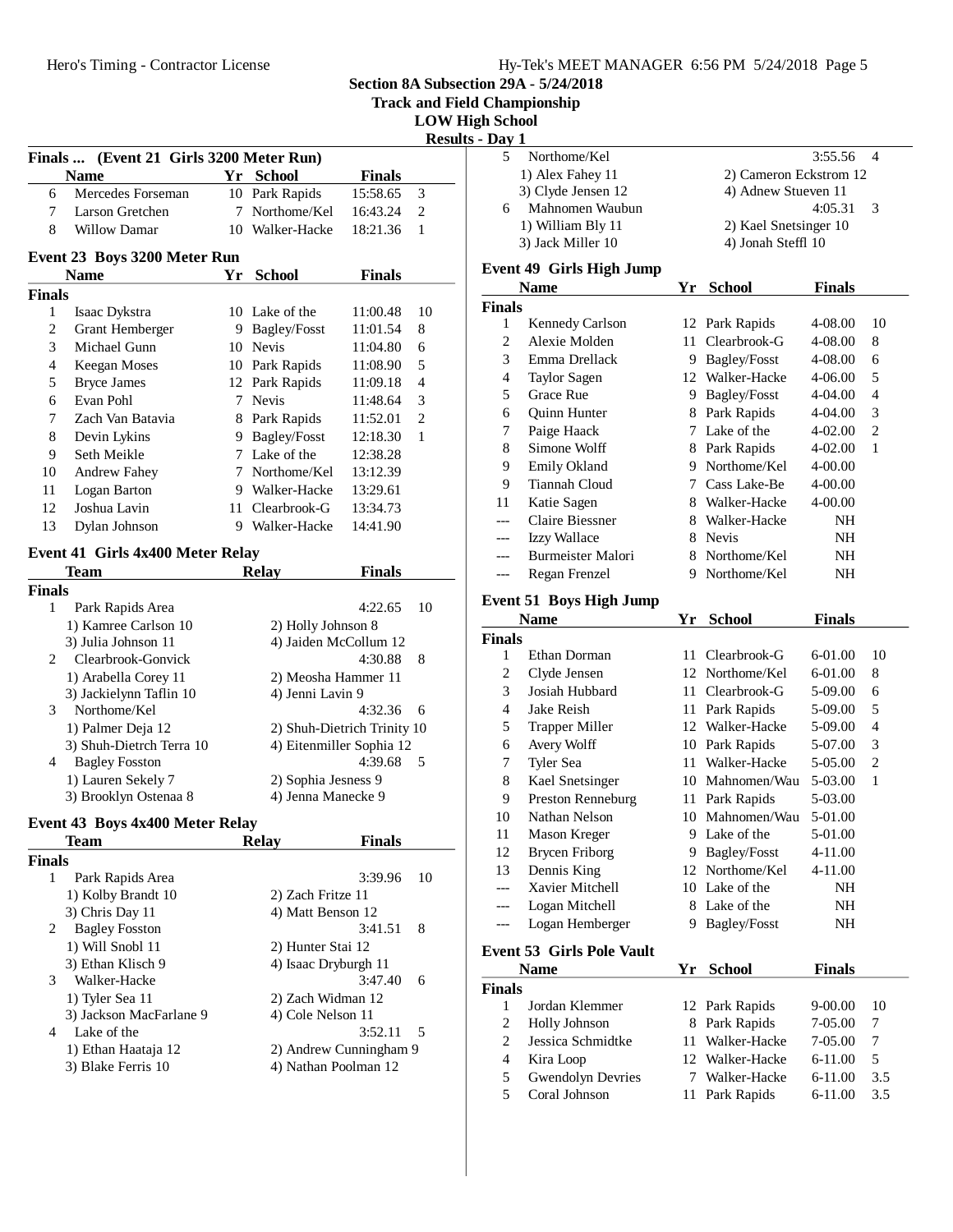**Track and Field Championship**

**LOW High School**

**Results - Day 1**

|               |                                         |    |                     |               | Resu |
|---------------|-----------------------------------------|----|---------------------|---------------|------|
|               | Finals  (Event 21 Girls 3200 Meter Run) |    |                     |               |      |
|               | Name                                    | Yr | <b>School</b>       | <b>Finals</b> |      |
| 6             | Mercedes Forseman                       |    | 10 Park Rapids      | 15:58.65      | 3    |
| 7             | Larson Gretchen                         | 7  | Northome/Kel        | 16:43.24      | 2    |
| 8             | <b>Willow Damar</b>                     | 10 | Walker-Hacke        | 18:21.36      | 1    |
|               | Event 23 Boys 3200 Meter Run            |    |                     |               |      |
|               | Name                                    | Yr | School              | <b>Finals</b> |      |
| <b>Finals</b> |                                         |    |                     |               |      |
| $\mathbf{1}$  | Isaac Dykstra                           |    | 10 Lake of the      | 11:00.48      | 10   |
| 2             | Grant Hemberger                         | 9  | Bagley/Fosst        | 11:01.54      | 8    |
| 3             | Michael Gunn                            | 10 | <b>Nevis</b>        | 11:04.80      | 6    |
| 4             | <b>Keegan Moses</b>                     | 10 | Park Rapids         | 11:08.90      | 5    |
| 5             | <b>Bryce James</b>                      | 12 | Park Rapids         | 11:09.18      | 4    |
| 6             | Evan Pohl                               | 7  | <b>Nevis</b>        | 11:48.64      | 3    |
| 7             | Zach Van Batavia                        |    | 8 Park Rapids       | 11:52.01      | 2    |
| 8             | Devin Lykins                            | 9  | <b>Bagley/Fosst</b> | 12:18.30      | 1    |
| 9             | Seth Meikle                             | 7  | Lake of the         | 12:38.28      |      |
| 10            | <b>Andrew Fahey</b>                     | 7  | Northome/Kel        | 13:12.39      |      |
| 11            | Logan Barton                            | 9  | Walker-Hacke        | 13:29.61      |      |
| 12            | Joshua Lavin                            | 11 | Clearbrook-G        | 13:34.73      |      |
| 13            | Dylan Johnson                           | 9  | Walker-Hacke        | 14:41.90      |      |
|               | Event 41 Girls 4x400 Meter Relay        |    |                     |               |      |
|               | Team                                    |    | <b>Relay</b>        | <b>Finals</b> |      |
| <b>Finals</b> |                                         |    |                     |               |      |
| 1             | Park Rapids Area                        |    |                     | 4:22.65       | 10   |

| mais           |                          |                             |
|----------------|--------------------------|-----------------------------|
| 1              | Park Rapids Area         | 4:22.65<br>10               |
|                | 1) Kamree Carlson 10     | 2) Holly Johnson 8          |
|                | 3) Julia Johnson 11      | 4) Jaiden McCollum 12       |
| $\mathfrak{D}$ | Clearbrook-Gonvick       | 4:30.88<br>8                |
|                | 1) Arabella Corey 11     | 2) Meosha Hammer 11         |
|                | 3) Jackielynn Taflin 10  | 4) Jenni Lavin 9            |
| 3              | Northome/Kel             | 4:32.36<br>6                |
|                | 1) Palmer Deja 12        | 2) Shuh-Dietrich Trinity 10 |
|                | 3) Shuh-Dietrch Terra 10 | 4) Eitenmiller Sophia 12    |
| 4              | <b>Bagley Fosston</b>    | 4:39.68<br>5                |
|                | 1) Lauren Sekely 7       | 2) Sophia Jesness 9         |
|                | 3) Brooklyn Ostenaa 8    | 4) Jenna Manecke 9          |

# **Event 43 Boys 4x400 Meter Relay**

| Team                       | <b>Relav</b>      | <b>Finals</b>          |
|----------------------------|-------------------|------------------------|
| Finals                     |                   |                        |
| Park Rapids Area<br>1      |                   | 3:39.96<br>10          |
| 1) Kolby Brandt 10         | 2) Zach Fritze 11 |                        |
| 3) Chris Day 11            | 4) Matt Benson 12 |                        |
| <b>Bagley Fosston</b><br>2 |                   | 3:41.51<br>8           |
| 1) Will Snobl 11           | 2) Hunter Stai 12 |                        |
| 3) Ethan Klisch 9          |                   | 4) Isaac Dryburgh 11   |
| 3<br>Walker-Hacke          |                   | 3:47.40<br>6           |
| 1) Tyler Sea 11            |                   | 2) Zach Widman 12      |
| 3) Jackson MacFarlane 9    | 4) Cole Nelson 11 |                        |
| Lake of the<br>4           |                   | 3:52.11<br>- 5         |
| 1) Ethan Haataja 12        |                   | 2) Andrew Cunningham 9 |
| 3) Blake Ferris 10         |                   | 4) Nathan Poolman 12   |
|                            |                   |                        |

| av |                    |                          |
|----|--------------------|--------------------------|
|    | Northome/Kel       | $3:55.56$ 4              |
|    | 1) Alex Fahey 11   | 2) Cameron Eckstrom 12   |
|    | 3) Clyde Jensen 12 | 4) Adnew Stueven 11      |
| 6  | Mahnomen Waubun    | 4:05.31<br>$\mathcal{R}$ |
|    | 1) William Bly 11  | 2) Kael Snetsinger 10    |
|    | 3) Jack Miller 10  | 4) Jonah Steffl 10       |
|    |                    |                          |

#### **Event 49 Girls High Jump**

| Name          |                        | Үr | <b>School</b>  | <b>Finals</b> |    |
|---------------|------------------------|----|----------------|---------------|----|
| <b>Finals</b> |                        |    |                |               |    |
| 1             | <b>Kennedy Carlson</b> |    | 12 Park Rapids | 4-08.00       | 10 |
| 2             | Alexie Molden          | 11 | Clearbrook-G   | 4-08.00       | 8  |
| 3             | Emma Drellack          | 9  | Bagley/Fosst   | 4-08.00       | 6  |
| 4             | <b>Taylor Sagen</b>    | 12 | Walker-Hacke   | 4-06.00       | 5  |
| 5             | Grace Rue              | 9  | Bagley/Fosst   | 4-04.00       | 4  |
| 6             | <b>Ouinn Hunter</b>    | 8  | Park Rapids    | 4-04.00       | 3  |
| 7             | Paige Haack            | 7  | Lake of the    | 4-02.00       | 2  |
| 8             | Simone Wolff           | 8  | Park Rapids    | $4 - 02.00$   | 1  |
| 9             | Emily Okland           | 9  | Northome/Kel   | $4 - 00.00$   |    |
| 9             | Tiannah Cloud          | 7  | Cass Lake-Be   | 4-00.00       |    |
| 11            | Katie Sagen            | 8  | Walker-Hacke   | 4-00.00       |    |
| ---           | Claire Biessner        | 8  | Walker-Hacke   | NH            |    |
| ---           | <b>Izzy Wallace</b>    | 8  | <b>Nevis</b>   | NΗ            |    |
|               | Burmeister Malori      | 8  | Northome/Kel   | NΗ            |    |
|               | Regan Frenzel          | 9  | Northome/Kel   | NΗ            |    |

#### **Event 51 Boys High Jump**

|                | Name                             | Yr             | <b>School</b>   | <b>Finals</b>    |               |
|----------------|----------------------------------|----------------|-----------------|------------------|---------------|
| Finals         |                                  |                |                 |                  |               |
| $\mathbf{1}$   | Ethan Dorman                     | 11             | Clearbrook-G    | 6-01.00          | 10            |
| $\overline{2}$ | Clyde Jensen                     |                | 12 Northome/Kel | 6-01.00          | 8             |
| 3              | Josiah Hubbard                   | 11             | Clearbrook-G    | 5-09.00          | 6             |
| $\overline{4}$ | Jake Reish                       | 11             | Park Rapids     | 5-09.00          | 5             |
| 5              | Trapper Miller                   |                | 12 Walker-Hacke | 5-09.00          | 4             |
| 6              | Avery Wolff                      | 10             | Park Rapids     | 5-07.00          | 3             |
| 7              | Tyler Sea                        | 11             | Walker-Hacke    | 5-05.00          | 2             |
| 8              | Kael Snetsinger                  | 10             | Mahnomen/Wau    | 5-03.00          | $\mathbf{1}$  |
| 9              | Preston Renneburg                | 11             | Park Rapids     | 5-03.00          |               |
| 10             | Nathan Nelson                    | 10             | Mahnomen/Wau    | 5-01.00          |               |
| 11             | Mason Kreger                     | 9              | Lake of the     | 5-01.00          |               |
| 12             | Brycen Friborg                   | 9              | Bagley/Fosst    | 4-11.00          |               |
| 13             | Dennis King                      | 12             | Northome/Kel    | 4-11.00          |               |
|                | Xavier Mitchell                  | 10             | Lake of the     | NH               |               |
| ---            | Logan Mitchell                   | 8              | Lake of the     | NH               |               |
| ---            | Logan Hemberger                  | 9              | Bagley/Fosst    | NΗ               |               |
|                | <b>Event 53 Girls Pole Vault</b> |                |                 |                  |               |
|                | Name                             | Yr             | <b>School</b>   | <b>Finals</b>    |               |
| Finals         |                                  |                |                 |                  |               |
| 1              | Jordan Klemmer                   | 12             | Park Rapids     | $9 - 00.00$      | 10            |
| 2              | Holly Johnson                    | 8              | Park Rapids     | 7-05.00          | 7             |
| $\overline{c}$ | Jessica Schmidtke                | 11             | Walker-Hacke    | 7-05.00          | 7             |
| $\overline{4}$ | Kira Loop                        |                | 12 Walker-Hacke | $6-11.00$        | 5             |
| -              | $\alpha$ ii $\alpha$             | $\overline{ }$ | 1111111         | $\epsilon$ 11 00 | $\sim$ $\sim$ |

5 Gwendolyn Devries 7 Walker-Hacke 6-11.00 3.5<br>5 Coral Johnson 11 Park Rapids 6-11.00 3.5 11 Park Rapids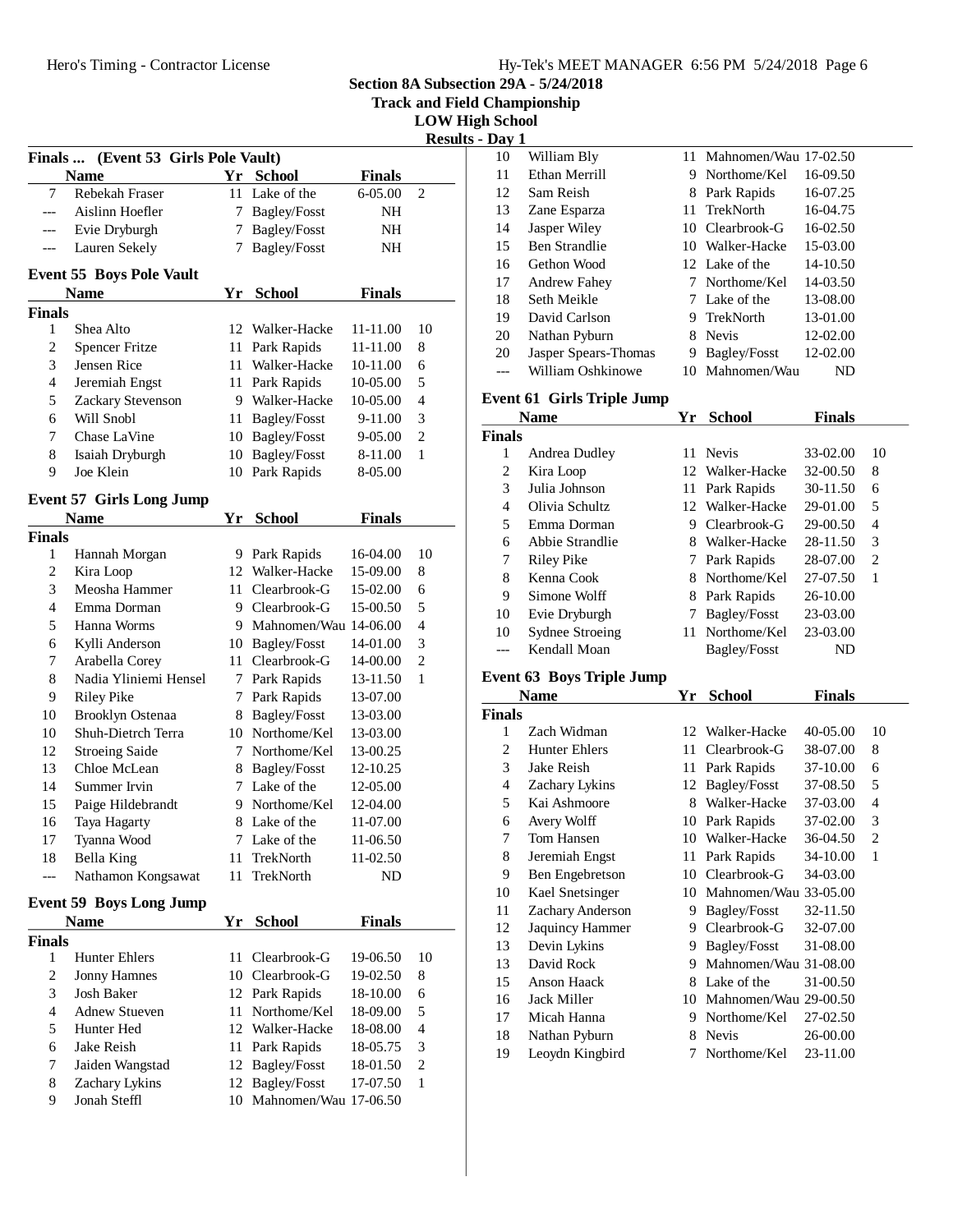| Hy-Tek's MEET MANAGER 6:56 PM 5/24/2018 Page 6 |  |  |
|------------------------------------------------|--|--|
|                                                |  |  |

**Track and Field Championship**

**LOW High School**

 $\overline{\textbf{s}}$  - Day 1

|               | Finals  (Event 53 Girls Pole Vault)<br><b>Name</b> | Yr | <b>School</b>         | <b>Finals</b> |                |
|---------------|----------------------------------------------------|----|-----------------------|---------------|----------------|
| 7             | Rebekah Fraser                                     | 11 | Lake of the           | 6-05.00       | $\overline{c}$ |
| ---           | Aislinn Hoefler                                    | 7  | Bagley/Fosst          | NH            |                |
| ---           | Evie Dryburgh                                      | 7  | Bagley/Fosst          | NH            |                |
| ---           | Lauren Sekely                                      | 7  | Bagley/Fosst          | ΝH            |                |
|               |                                                    |    |                       |               |                |
|               | <b>Event 55 Boys Pole Vault</b>                    |    |                       |               |                |
|               | <b>Name</b>                                        | Yr | <b>School</b>         | <b>Finals</b> |                |
| <b>Finals</b> |                                                    |    |                       |               |                |
| 1             | Shea Alto                                          | 12 | Walker-Hacke          | 11-11.00      | 10             |
| 2             | <b>Spencer Fritze</b>                              | 11 | Park Rapids           | 11-11.00      | 8              |
| 3             | Jensen Rice                                        | 11 | Walker-Hacke          | 10-11.00      | 6              |
| 4             | Jeremiah Engst                                     | 11 | Park Rapids           | 10-05.00      | 5              |
| 5             | Zackary Stevenson                                  | 9  | Walker-Hacke          | 10-05.00      | 4              |
| 6             | Will Snobl                                         | 11 | Bagley/Fosst          | 9-11.00       | 3              |
| 7             | Chase LaVine                                       | 10 | <b>Bagley/Fosst</b>   | 9-05.00       | 2              |
| 8             | Isaiah Dryburgh                                    | 10 | <b>Bagley/Fosst</b>   | 8-11.00       | 1              |
| 9             | Joe Klein                                          |    | 10 Park Rapids        | 8-05.00       |                |
|               | <b>Event 57 Girls Long Jump</b>                    |    |                       |               |                |
|               | Name                                               | Yr | <b>School</b>         | <b>Finals</b> |                |
| <b>Finals</b> |                                                    |    |                       |               |                |
| 1             | Hannah Morgan                                      |    | 9 Park Rapids         | 16-04.00      | 10             |
| 2             | Kira Loop                                          |    | 12 Walker-Hacke       | 15-09.00      | 8              |
| 3             | Meosha Hammer                                      | 11 | Clearbrook-G          | 15-02.00      | 6              |
| 4             | Emma Dorman                                        |    | 9 Clearbrook-G        | 15-00.50      | 5              |
| 5             | Hanna Worms                                        | 9  | Mahnomen/Wau 14-06.00 |               | 4              |
| 6             | Kylli Anderson                                     |    | 10 Bagley/Fosst       | 14-01.00      | 3              |
| 7             | Arabella Corey                                     |    | 11 Clearbrook-G       | 14-00.00      | $\overline{c}$ |
| 8             | Nadia Yliniemi Hensel                              |    | 7 Park Rapids         | 13-11.50      | 1              |
| 9             | Riley Pike                                         | 7  | Park Rapids           | 13-07.00      |                |
| 10            | <b>Brooklyn Ostenaa</b>                            | 8  | <b>Bagley/Fosst</b>   | 13-03.00      |                |
| 10            | Shuh-Dietrch Terra                                 |    | 10 Northome/Kel       | 13-03.00      |                |
| 12            | <b>Stroeing Saide</b>                              | 7  | Northome/Kel          | 13-00.25      |                |
| 13            | Chloe McLean                                       | 8  | <b>Bagley/Fosst</b>   | 12-10.25      |                |
| 14            | Summer Irvin                                       |    | 7 Lake of the         | 12-05.00      |                |
| 15            | Paige Hildebrandt                                  | 9  | Northome/Kel          | 12-04.00      |                |
| 16            | Taya Hagarty                                       | 8  | Lake of the           | 11-07.00      |                |
| 17            | Tyanna Wood                                        | 7  | Lake of the           | 11-06.50      |                |
| 18            | Bella King                                         | 11 | TrekNorth             | 11-02.50      |                |
|               | Nathamon Kongsawat                                 | 11 | TrekNorth             | ND            |                |
|               | <b>Event 59 Boys Long Jump</b>                     |    |                       |               |                |
|               | <b>Name</b>                                        | Yr | <b>School</b>         | <b>Finals</b> |                |
| <b>Finals</b> |                                                    |    |                       |               |                |
| 1             | <b>Hunter Ehlers</b>                               | 11 | Clearbrook-G          | 19-06.50      | 10             |
| 2             | <b>Jonny Hamnes</b>                                |    | 10 Clearbrook-G       | 19-02.50      | 8              |
| 3             | <b>Josh Baker</b>                                  |    | 12 Park Rapids        | 18-10.00      | 6              |
| 4             | <b>Adnew Stueven</b>                               | 11 | Northome/Kel          | 18-09.00      | 5              |
| 5             | Hunter Hed                                         | 12 | Walker-Hacke          | 18-08.00      | $\overline{4}$ |
| 6             | Jake Reish                                         | 11 | Park Rapids           | 18-05.75      | 3              |
|               | Jaiden Wangstad                                    | 12 | <b>Bagley/Fosst</b>   | 18-01.50      | 2              |
|               |                                                    |    |                       |               |                |
| 7<br>8        | Zachary Lykins                                     | 12 | <b>Bagley/Fosst</b>   | 17-07.50      | 1              |

| .<br>. . |                      |     |                          |              |
|----------|----------------------|-----|--------------------------|--------------|
| 10       | William Bly          |     | 11 Mahnomen/Wau 17-02.50 |              |
| 11       | Ethan Merrill        | 9   | Northome/Kel             | 16-09.50     |
| 12       | Sam Reish            | 8   | Park Rapids              | 16-07.25     |
| 13       | Zane Esparza         |     | 11 TrekNorth             | 16-04.75     |
| 14       | Jasper Wiley         |     | 10 Clearbrook-G          | 16-02.50     |
| 15       | <b>Ben Strandlie</b> | 10. | Walker-Hacke             | 15-03.00     |
| 16       | Gethon Wood          |     | 12 Lake of the           | 14-10.50     |
| 17       | <b>Andrew Fahey</b>  |     | 7 Northome/Kel           | $14 - 03.50$ |
| 18       | Seth Meikle          |     | 7 Lake of the            | 13-08.00     |
| 19       | David Carlson        |     | 9 TrekNorth              | 13-01.00     |
| 20       | Nathan Pyburn        | 8   | <b>Nevis</b>             | 12-02.00     |
| 20       | Jasper Spears-Thomas | 9   | Bagley/Fosst             | 12-02.00     |
|          | William Oshkinowe    | 10. | Mahnomen/Wau             | ND           |
|          |                      |     |                          |              |

## **Event 61 Girls Triple Jump**

|               | <b>Name</b>     | Yr | <b>School</b>       | <b>Finals</b> |    |
|---------------|-----------------|----|---------------------|---------------|----|
| <b>Finals</b> |                 |    |                     |               |    |
| 1             | Andrea Dudley   |    | 11 Nevis            | 33-02.00      | 10 |
| 2             | Kira Loop       |    | 12 Walker-Hacke     | 32-00.50      | 8  |
| 3             | Julia Johnson   |    | 11 Park Rapids      | 30-11.50      | 6  |
| 4             | Olivia Schultz  |    | 12 Walker-Hacke     | 29-01.00      | 5  |
| 5             | Emma Dorman     | 9  | Clearbrook-G        | 29-00.50      | 4  |
| 6             | Abbie Strandlie | 8  | Walker-Hacke        | 28-11.50      | 3  |
| 7             | Riley Pike      | 7  | Park Rapids         | 28-07.00      | 2  |
| 8             | Kenna Cook      | 8. | Northome/Kel        | 27-07.50      | 1  |
| 9             | Simone Wolff    | 8  | Park Rapids         | 26-10.00      |    |
| 10            | Evie Dryburgh   |    | Bagley/Fosst        | 23-03.00      |    |
| 10            | Sydnee Stroeing | 11 | Northome/Kel        | 23-03.00      |    |
|               | Kendall Moan    |    | <b>Bagley/Fosst</b> | ND            |    |

## **Event 63 Boys Triple Jump**

|               | <b>Name</b>          | Yr | <b>School</b>       | Finals   |    |
|---------------|----------------------|----|---------------------|----------|----|
| <b>Finals</b> |                      |    |                     |          |    |
| 1             | Zach Widman          | 12 | Walker-Hacke        | 40-05.00 | 10 |
| 2             | <b>Hunter Ehlers</b> | 11 | Clearbrook-G        | 38-07.00 | 8  |
| 3             | Jake Reish           | 11 | Park Rapids         | 37-10.00 | 6  |
| 4             | Zachary Lykins       | 12 | Bagley/Fosst        | 37-08.50 | 5  |
| 5             | Kai Ashmoore         | 8  | Walker-Hacke        | 37-03.00 | 4  |
| 6             | Avery Wolff          | 10 | Park Rapids         | 37-02.00 | 3  |
| 7             | Tom Hansen           | 10 | Walker-Hacke        | 36-04.50 | 2  |
| 8             | Jeremiah Engst       | 11 | Park Rapids         | 34-10.00 | 1  |
| 9             | Ben Engebretson      | 10 | Clearbrook-G        | 34-03.00 |    |
| 10            | Kael Snetsinger      | 10 | Mahnomen/Wau        | 33-05.00 |    |
| 11            | Zachary Anderson     | 9  | Bagley/Fosst        | 32-11.50 |    |
| 12            | Jaquincy Hammer      | 9  | Clearbrook-G        | 32-07.00 |    |
| 13            | Devin Lykins         | 9  | <b>Bagley/Fosst</b> | 31-08.00 |    |
| 13            | David Rock           | 9  | Mahnomen/Wau        | 31-08.00 |    |
| 15            | <b>Anson Haack</b>   | 8  | Lake of the         | 31-00.50 |    |
| 16            | Jack Miller          | 10 | Mahnomen/Wau        | 29-00.50 |    |
| 17            | Micah Hanna          | 9  | Northome/Kel        | 27-02.50 |    |
| 18            | Nathan Pyburn        | 8  | <b>Nevis</b>        | 26-00.00 |    |
| 19            | Leoydn Kingbird      | 7  | Northome/Kel        | 23-11.00 |    |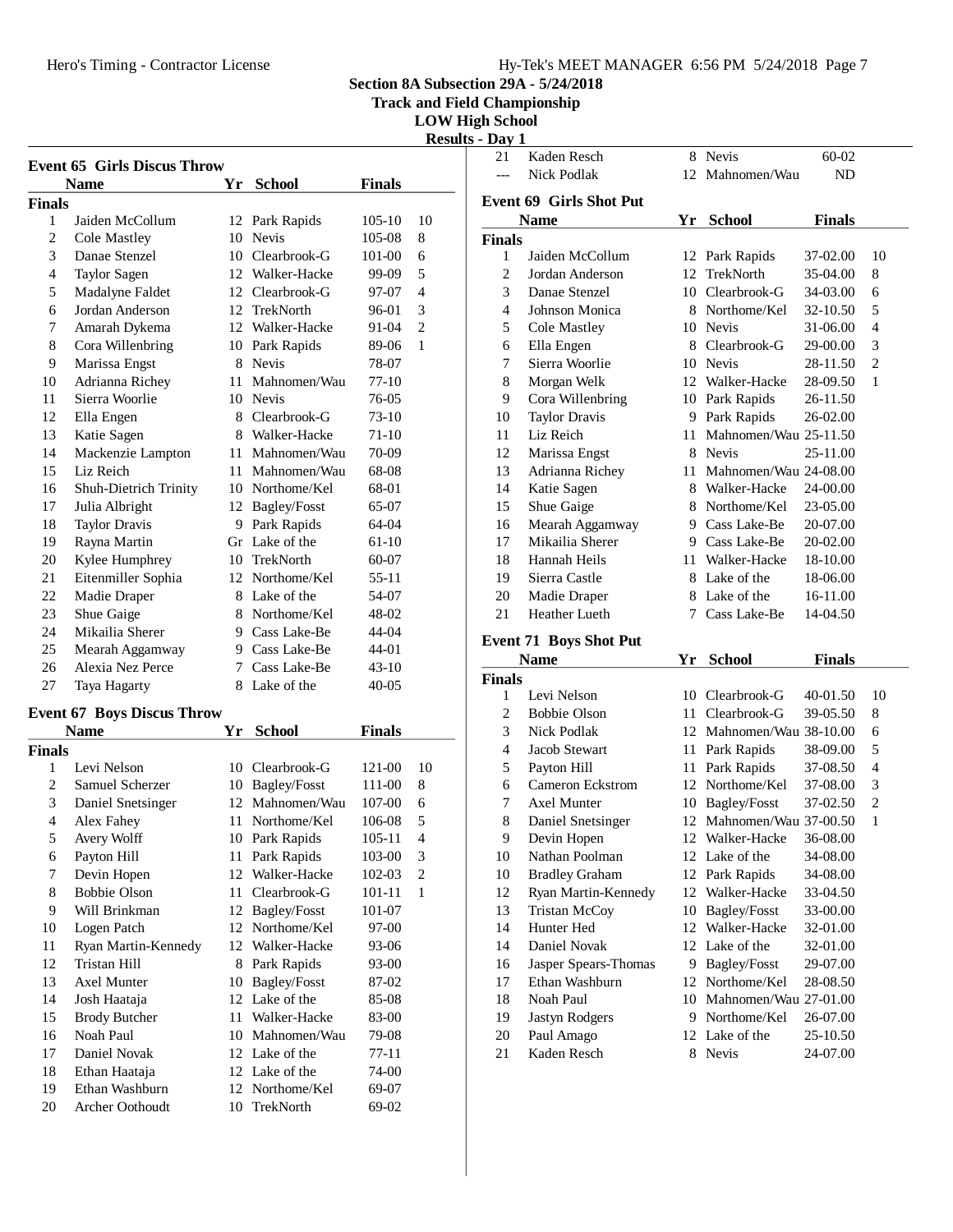Hero's Timing - Contractor License

**Section 8A Subsection 29A - 5/24/2018**

**Track and Field Championship**

**LOW High School**

**Results - Day 1**

| <b>Event 65 Girls Discus Throw</b> |                                                  |    |                 |               |              |
|------------------------------------|--------------------------------------------------|----|-----------------|---------------|--------------|
|                                    | <b>Name</b>                                      |    | Yr School       | <b>Finals</b> |              |
| Finals                             |                                                  |    |                 |               |              |
| 1                                  | Jaiden McCollum                                  |    | 12 Park Rapids  | 105-10        | 10           |
| $\mathfrak{2}$                     | Cole Mastley                                     |    | 10 Nevis        | 105-08        | 8            |
| 3                                  | Danae Stenzel                                    |    | 10 Clearbrook-G | 101-00        | 6            |
| 4                                  | <b>Taylor Sagen</b>                              |    | 12 Walker-Hacke | 99-09         | 5            |
| 5                                  | Madalyne Faldet                                  |    | 12 Clearbrook-G | 97-07         | 4            |
| 6                                  | Jordan Anderson                                  |    | 12 TrekNorth    | 96-01         | 3            |
| 7                                  | Amarah Dykema                                    |    | 12 Walker-Hacke | 91-04         | 2            |
| 8                                  | Cora Willenbring                                 |    | 10 Park Rapids  | 89-06         | 1            |
| 9                                  | Marissa Engst                                    |    | 8 Nevis         | 78-07         |              |
| 10                                 | Adrianna Richey                                  |    | 11 Mahnomen/Wau | 77-10         |              |
| 11                                 | Sierra Woorlie                                   |    | 10 Nevis        | 76-05         |              |
| 12                                 | Ella Engen                                       |    | 8 Clearbrook-G  | 73-10         |              |
| 13                                 | Katie Sagen                                      |    | 8 Walker-Hacke  | 71-10         |              |
| 14                                 | Mackenzie Lampton                                |    | 11 Mahnomen/Wau | 70-09         |              |
| 15                                 | Liz Reich                                        | 11 | Mahnomen/Wau    | 68-08         |              |
| 16                                 | Shuh-Dietrich Trinity                            |    | 10 Northome/Kel | 68-01         |              |
| 17                                 | Julia Albright                                   |    | 12 Bagley/Fosst | 65-07         |              |
| 18                                 | <b>Taylor Dravis</b>                             |    | 9 Park Rapids   | 64-04         |              |
| 19                                 | Rayna Martin                                     |    | Gr Lake of the  | 61-10         |              |
| 20                                 | Kylee Humphrey                                   |    | 10 TrekNorth    | 60-07         |              |
| 21                                 | Eitenmiller Sophia                               |    | 12 Northome/Kel | 55-11         |              |
| 22                                 | Madie Draper                                     |    | 8 Lake of the   | 54-07         |              |
| 23                                 | Shue Gaige                                       |    | 8 Northome/Kel  | 48-02         |              |
| 24                                 | Mikailia Sherer                                  |    | 9 Cass Lake-Be  | 44-04         |              |
| 25                                 | Mearah Aggamway                                  |    | 9 Cass Lake-Be  | 44-01         |              |
| 26                                 | Alexia Nez Perce                                 |    | 7 Cass Lake-Be  | 43-10         |              |
| 27                                 | Taya Hagarty                                     |    | 8 Lake of the   | 40-05         |              |
|                                    |                                                  |    |                 |               |              |
|                                    | <b>Event 67 Boys Discus Throw</b><br><b>Name</b> |    | Yr School       | <b>Finals</b> |              |
| Finals                             |                                                  |    |                 |               |              |
| 1                                  | Levi Nelson                                      |    | 10 Clearbrook-G | 121-00        | 10           |
| $\overline{c}$                     | Samuel Scherzer                                  |    | 10 Bagley/Fosst | 111-00        | 8            |
| $\mathfrak{Z}$                     | Daniel Snetsinger                                |    | 12 Mahnomen/Wau | 107-00        | 6            |
| $\overline{4}$                     | Alex Fahey                                       | 11 | Northome/Kel    | 106-08        | 5            |
| 5                                  | Avery Wolff                                      | 10 | Park Rapids     | $105 - 11$    | 4            |
| 6                                  | Payton Hill                                      | 11 | Park Rapids     | 103-00        | 3            |
| $\boldsymbol{7}$                   | Devin Hopen                                      | 12 | Walker-Hacke    | 102-03        | 2            |
| 8                                  | <b>Bobbie Olson</b>                              | 11 | Clearbrook-G    | 101-11        | $\mathbf{1}$ |
| 9                                  | Will Brinkman                                    | 12 | Bagley/Fosst    | 101-07        |              |
| 10                                 | Logen Patch                                      | 12 | Northome/Kel    | 97-00         |              |
| 11                                 | Ryan Martin-Kennedy                              |    | 12 Walker-Hacke | 93-06         |              |
| 12                                 | Tristan Hill                                     | 8  | Park Rapids     | 93-00         |              |
| 13                                 | Axel Munter                                      | 10 | Bagley/Fosst    | 87-02         |              |
| 14                                 | Josh Haataja                                     | 12 | Lake of the     | 85-08         |              |
| 15                                 | <b>Brody Butcher</b>                             | 11 | Walker-Hacke    | 83-00         |              |
| 16                                 | Noah Paul                                        | 10 | Mahnomen/Wau    | 79-08         |              |
| 17                                 | Daniel Novak                                     |    | 12 Lake of the  | 77-11         |              |
| 18                                 | Ethan Haataja                                    |    | 12 Lake of the  | 74-00         |              |
| 19                                 | Ethan Washburn                                   |    | 12 Northome/Kel | 69-07         |              |
| $20\,$                             | Archer Oothoudt                                  | 10 | TrekNorth       | 69-02         |              |

| 21             | Kaden Resch                   | 8  | <b>Nevis</b>          | 60-02         |                |
|----------------|-------------------------------|----|-----------------------|---------------|----------------|
|                | Nick Podlak                   |    | 12 Mahnomen/Wau       | ND            |                |
|                | Event 69 Girls Shot Put       |    |                       |               |                |
|                | <b>Name</b>                   | Yr | <b>School</b>         | <b>Finals</b> |                |
| <b>Finals</b>  |                               |    |                       |               |                |
| 1              | Jaiden McCollum               |    | 12 Park Rapids        | 37-02.00      | 10             |
| 2              | Jordan Anderson               | 12 | <b>TrekNorth</b>      | 35-04.00      | 8              |
| 3              | Danae Stenzel                 |    | 10 Clearbrook-G       | 34-03.00      | 6              |
| $\overline{4}$ | Johnson Monica                |    | 8 Northome/Kel        | 32-10.50      | 5              |
| 5              | Cole Mastley                  | 10 | <b>Nevis</b>          | 31-06.00      | 4              |
| 6              | Ella Engen                    |    | 8 Clearbrook-G        | 29-00.00      | 3              |
| 7              | Sierra Woorlie                |    | 10 Nevis              | 28-11.50      | $\overline{2}$ |
| 8              | Morgan Welk                   | 12 | Walker-Hacke          | 28-09.50      | 1              |
| 9              | Cora Willenbring              |    | 10 Park Rapids        | 26-11.50      |                |
| 10             | <b>Taylor Dravis</b>          | 9  | Park Rapids           | 26-02.00      |                |
| 11             | Liz Reich                     | 11 | Mahnomen/Wau 25-11.50 |               |                |
| 12             | Marissa Engst                 |    | 8 Nevis               | 25-11.00      |                |
| 13             | Adrianna Richey               | 11 | Mahnomen/Wau 24-08.00 |               |                |
| 14             | Katie Sagen                   | 8  | Walker-Hacke          | 24-00.00      |                |
| 15             | Shue Gaige                    |    | 8 Northome/Kel        | 23-05.00      |                |
| 16             | Mearah Aggamway               |    | 9 Cass Lake-Be        | 20-07.00      |                |
| 17             | Mikailia Sherer               |    | 9 Cass Lake-Be        | 20-02.00      |                |
| 18             | Hannah Heils                  | 11 | Walker-Hacke          | 18-10.00      |                |
| 19             | Sierra Castle                 | 8  | Lake of the           | 18-06.00      |                |
| 20             | Madie Draper                  |    | 8 Lake of the         | 16-11.00      |                |
| 21             | Heather Lueth                 | 7  | Cass Lake-Be          | 14-04.50      |                |
|                | <b>Event 71 Boys Shot Put</b> |    |                       |               |                |

|                | <b>Name</b>           | Yr  | <b>School</b>         | <b>Finals</b> |                |
|----------------|-----------------------|-----|-----------------------|---------------|----------------|
| <b>Finals</b>  |                       |     |                       |               |                |
| 1              | Levi Nelson           | 10  | Clearbrook-G          | 40-01.50      | 10             |
| $\overline{c}$ | <b>Bobbie Olson</b>   | 11  | Clearbrook-G          | 39-05.50      | 8              |
| 3              | Nick Podlak           | 12  | Mahnomen/Wau 38-10.00 |               | 6              |
| 4              | Jacob Stewart         | 11  | Park Rapids           | 38-09.00      | 5              |
| 5              | Payton Hill           | 11  | Park Rapids           | 37-08.50      | $\overline{4}$ |
| 6              | Cameron Eckstrom      | 12  | Northome/Kel          | 37-08.00      | 3              |
| 7              | Axel Munter           | 10  | <b>Bagley/Fosst</b>   | 37-02.50      | $\overline{2}$ |
| 8              | Daniel Snetsinger     | 12  | Mahnomen/Wau 37-00.50 |               | 1              |
| 9              | Devin Hopen           | 12  | Walker-Hacke          | 36-08.00      |                |
| 10             | Nathan Poolman        |     | 12 Lake of the        | 34-08.00      |                |
| 10             | <b>Bradley Graham</b> |     | 12 Park Rapids        | 34-08.00      |                |
| 12             | Ryan Martin-Kennedy   | 12. | Walker-Hacke          | 33-04.50      |                |
| 13             | <b>Tristan McCoy</b>  | 10  | Bagley/Fosst          | 33-00.00      |                |
| 14             | Hunter Hed            | 12  | Walker-Hacke          | 32-01.00      |                |
| 14             | Daniel Novak          | 12  | Lake of the           | 32-01.00      |                |
| 16             | Jasper Spears-Thomas  | 9   | Bagley/Fosst          | 29-07.00      |                |
| 17             | Ethan Washburn        | 12  | Northome/Kel          | 28-08.50      |                |
| 18             | Noah Paul             | 10  | Mahnomen/Wau 27-01.00 |               |                |
| 19             | Jastyn Rodgers        | 9   | Northome/Kel          | 26-07.00      |                |
| 20             | Paul Amago            | 12  | Lake of the           | 25-10.50      |                |
| 21             | Kaden Resch           | 8   | <b>Nevis</b>          | 24-07.00      |                |